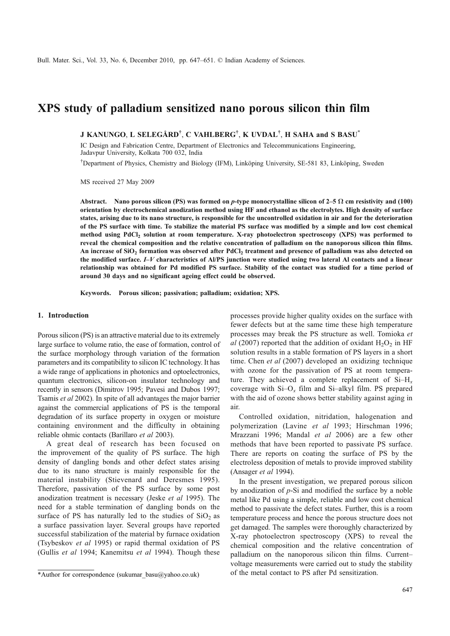# XPS study of palladium sensitized nano porous silicon thin film

J KANUNGO, L SELEGÅRD<sup>†</sup>, C VAHLBERG<sup>†</sup>, K UVDAL<sup>†</sup>, H SAHA and S BASU<sup>\*</sup>

IC Design and Fabrication Centre, Department of Electronics and Telecommunications Engineering, Jadavpur University, Kolkata 700 032, India

† Department of Physics, Chemistry and Biology (IFM), Linköping University, SE-581 83, Linköping, Sweden

MS received 27 May 2009

Abstract. Nano porous silicon (PS) was formed on p-type monocrystalline silicon of 2–5  $\Omega$  cm resistivity and (100) orientation by electrochemical anodization method using HF and ethanol as the electrolytes. High density of surface states, arising due to its nano structure, is responsible for the uncontrolled oxidation in air and for the deterioration of the PS surface with time. To stabilize the material PS surface was modified by a simple and low cost chemical method using PdCl<sub>2</sub> solution at room temperature. X-ray photoelectron spectroscopy (XPS) was performed to reveal the chemical composition and the relative concentration of palladium on the nanoporous silicon thin films. An increase of SiO<sub>2</sub> formation was observed after PdCl<sub>2</sub> treatment and presence of palladium was also detected on the modified surface. I–V characteristics of Al/PS junction were studied using two lateral Al contacts and a linear relationship was obtained for Pd modified PS surface. Stability of the contact was studied for a time period of around 30 days and no significant ageing effect could be observed.

Keywords. Porous silicon; passivation; palladium; oxidation; XPS.

## 1. Introduction

Porous silicon (PS) is an attractive material due to its extremely large surface to volume ratio, the ease of formation, control of the surface morphology through variation of the formation parameters and its compatibility to silicon IC technology. It has a wide range of applications in photonics and optoelectronics, quantum electronics, silicon-on insulator technology and recently in sensors (Dimitrov 1995; Pavesi and Dubos 1997; Tsamis et al 2002). In spite of all advantages the major barrier against the commercial applications of PS is the temporal degradation of its surface property in oxygen or moisture containing environment and the difficulty in obtaining reliable ohmic contacts (Barillaro et al 2003).

A great deal of research has been focused on the improvement of the quality of PS surface. The high density of dangling bonds and other defect states arising due to its nano structure is mainly responsible for the material instability (Stievenard and Deresmes 1995). Therefore, passivation of the PS surface by some post anodization treatment is necessary (Jeske et al 1995). The need for a stable termination of dangling bonds on the surface of PS has naturally led to the studies of  $SiO<sub>2</sub>$  as a surface passivation layer. Several groups have reported successful stabilization of the material by furnace oxidation (Tsybeskov et al 1995) or rapid thermal oxidation of PS (Gullis et al 1994; Kanemitsu et al 1994). Though these processes provide higher quality oxides on the surface with fewer defects but at the same time these high temperature processes may break the PS structure as well. Tomioka et al (2007) reported that the addition of oxidant  $H_2O_2$  in HF solution results in a stable formation of PS layers in a short time. Chen et al (2007) developed an oxidizing technique with ozone for the passivation of PS at room temperature. They achieved a complete replacement of  $Si-H<sub>x</sub>$ coverage with  $Si-O<sub>x</sub>$  film and Si-alkyl film. PS prepared with the aid of ozone shows better stability against aging in air.

Controlled oxidation, nitridation, halogenation and polymerization (Lavine et al 1993; Hirschman 1996; Mrazzani 1996; Mandal et al 2006) are a few other methods that have been reported to passivate PS surface. There are reports on coating the surface of PS by the electroless deposition of metals to provide improved stability (Ansager et al 1994).

In the present investigation, we prepared porous silicon by anodization of  $p$ -Si and modified the surface by a noble metal like Pd using a simple, reliable and low cost chemical method to passivate the defect states. Further, this is a room temperature process and hence the porous structure does not get damaged. The samples were thoroughly characterized by X-ray photoelectron spectroscopy (XPS) to reveal the chemical composition and the relative concentration of palladium on the nanoporous silicon thin films. Current– voltage measurements were carried out to study the stability \*Author for correspondence (sukumar basu@yahoo.co.uk) of the metal contact to PS after Pd sensitization.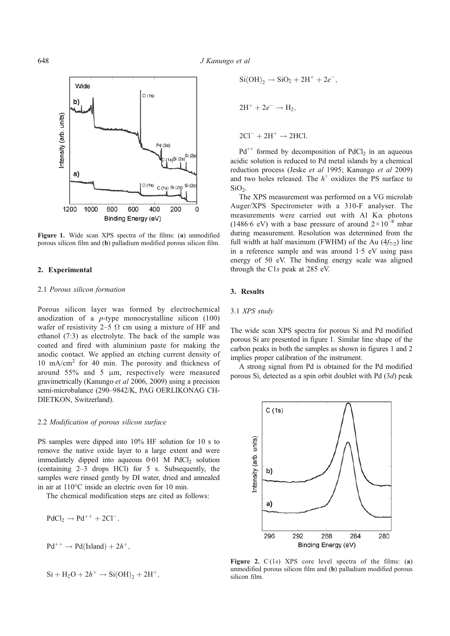

Figure 1. Wide scan XPS spectra of the films: (a) unmodified porous silicon film and (b) palladium modified porous silicon film.

## 2. Experimental

## 2.1 Porous silicon formation

Porous silicon layer was formed by electrochemical anodization of a  $p$ -type monocrystalline silicon (100) wafer of resistivity 2–5  $\Omega$  cm using a mixture of HF and ethanol (7:3) as electrolyte. The back of the sample was coated and fired with aluminium paste for making the anodic contact. We applied an etching current density of 10 mA/cm<sup>2</sup> for 40 min. The porosity and thickness of around 55% and 5 μm, respectively were measured gravimetrically (Kanungo et al 2006, 2009) using a precision semi-microbalance (290–9842/K, PAG OERLIKONAG CH-DIETKON, Switzerland).

#### 2.2 Modification of porous silicon surface

PS samples were dipped into 10% HF solution for 10 s to remove the native oxide layer to a large extent and were immediately dipped into aqueous  $0.01$  M PdCl<sub>2</sub> solution (containing 2–3 drops HCl) for 5 s. Subsequently, the samples were rinsed gently by DI water, dried and annealed in air at 110°C inside an electric oven for 10 min.

The chemical modification steps are cited as follows:

$$
PdCl_2 \rightarrow Pd^{++} + 2Cl^-,
$$
  

$$
Pd^{++} \rightarrow Pd(Island) + 2h^+,
$$

$$
Si + H_2O + 2h^+ \to Si(OH)_2 + 2H^+,
$$

$$
Si(OH)2 \rightarrow SiO2 + 2H+ + 2e-
$$
  

$$
2H+ + 2e- \rightarrow H2,
$$
  

$$
2Cl- + 2H+ \rightarrow 2HCl.
$$

 $Pd^{++}$  formed by decomposition of  $PdCl_2$  in an aqueous acidic solution is reduced to Pd metal islands by a chemical reduction process (Jeske et al 1995; Kanungo et al 2009) and two holes released. The  $h^+$  oxidizes the PS surface to  $SiO<sub>2</sub>$ .

;

The XPS measurement was performed on a VG microlab Auger/XPS Spectrometer with a 310-F analyser. The measurements were carried out with Al Kα photons (1486 $\cdot$ 6 eV) with a base pressure of around 2×10<sup>-8</sup> mbar during measurement. Resolution was determined from the full width at half maximum (FWHM) of the Au  $(4f_{7/2})$  line in a reference sample and was around 1·5 eV using pass energy of 50 eV. The binding energy scale was aligned through the C1s peak at 285 eV.

#### 3. Results

#### 3.1 XPS study

The wide scan XPS spectra for porous Si and Pd modified porous Si are presented in figure 1. Similar line shape of the carbon peaks in both the samples as shown in figures 1 and 2 implies proper calibration of the instrument.

A strong signal from Pd is obtained for the Pd modified porous Si, detected as a spin orbit doublet with Pd (3d) peak



Figure 2.  $C(1s)$  XPS core level spectra of the films: (a) unmodified porous silicon film and (b) palladium modified porous silicon film.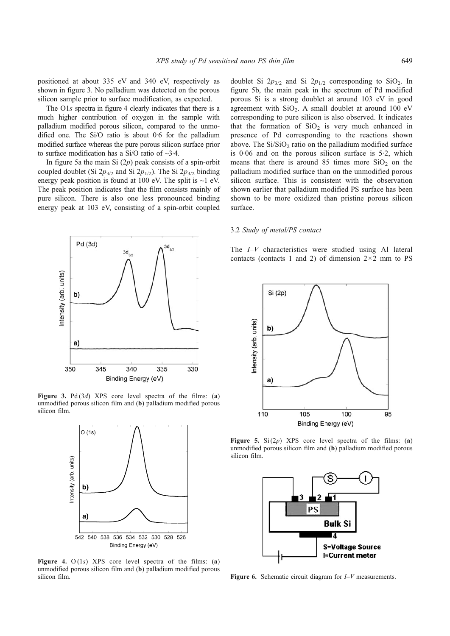positioned at about 335 eV and 340 eV, respectively as shown in figure 3. No palladium was detected on the porous silicon sample prior to surface modification, as expected.

The O1s spectra in figure 4 clearly indicates that there is a much higher contribution of oxygen in the sample with palladium modified porous silicon, compared to the unmodified one. The Si/O ratio is about 0·6 for the palladium modified surface whereas the pure porous silicon surface prior to surface modification has a Si/O ratio of ~3·4.

In figure 5a the main Si  $(2p)$  peak consists of a spin-orbit coupled doublet (Si  $2p_{3/2}$  and Si  $2p_{1/2}$ ). The Si  $2p_{3/2}$  binding energy peak position is found at 100 eV. The split is  $\sim$ 1 eV. The peak position indicates that the film consists mainly of pure silicon. There is also one less pronounced binding energy peak at 103 eV, consisting of a spin-orbit coupled



Figure 3. Pd $(3d)$  XPS core level spectra of the films: (a) unmodified porous silicon film and (b) palladium modified porous silicon film.



Figure 4.  $O(1s)$  XPS core level spectra of the films: (a) unmodified porous silicon film and (b) palladium modified porous silicon film.

doublet Si  $2p_{3/2}$  and Si  $2p_{1/2}$  corresponding to SiO<sub>2</sub>. In figure 5b, the main peak in the spectrum of Pd modified porous Si is a strong doublet at around 103 eV in good agreement with  $SiO<sub>2</sub>$ . A small doublet at around 100 eV corresponding to pure silicon is also observed. It indicates that the formation of  $SiO<sub>2</sub>$  is very much enhanced in presence of Pd corresponding to the reactions shown above. The  $Si/SiO<sub>2</sub>$  ratio on the palladium modified surface is 0·06 and on the porous silicon surface is 5·2, which means that there is around 85 times more  $SiO<sub>2</sub>$  on the palladium modified surface than on the unmodified porous silicon surface. This is consistent with the observation shown earlier that palladium modified PS surface has been shown to be more oxidized than pristine porous silicon surface.

#### 3.2 Study of metal/PS contact

The  $I-V$  characteristics were studied using Al lateral contacts (contacts 1 and 2) of dimension  $2 \times 2$  mm to PS



Figure 5.  $Si(2p)$  XPS core level spectra of the films: (a) unmodified porous silicon film and (b) palladium modified porous silicon film.



**Figure 6.** Schematic circuit diagram for  $I-V$  measurements.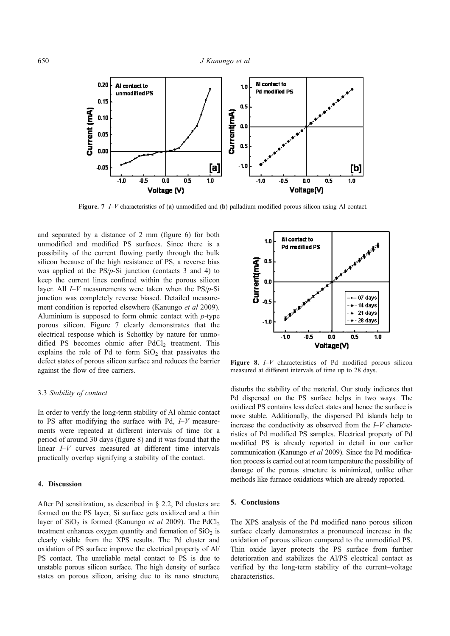

Figure. 7 I–V characteristics of (a) unmodified and (b) palladium modified porous silicon using Al contact.

and separated by a distance of 2 mm (figure 6) for both unmodified and modified PS surfaces. Since there is a possibility of the current flowing partly through the bulk silicon because of the high resistance of PS, a reverse bias was applied at the PS/p-Si junction (contacts 3 and 4) to keep the current lines confined within the porous silicon layer. All  $I-V$  measurements were taken when the  $PS/p-Si$ junction was completely reverse biased. Detailed measurement condition is reported elsewhere (Kanungo et al 2009). Aluminium is supposed to form ohmic contact with p-type porous silicon. Figure 7 clearly demonstrates that the electrical response which is Schottky by nature for unmodified PS becomes ohmic after PdCl<sub>2</sub> treatment. This explains the role of Pd to form  $SiO<sub>2</sub>$  that passivates the defect states of porous silicon surface and reduces the barrier against the flow of free carriers.

# 3.3 Stability of contact

In order to verify the long-term stability of Al ohmic contact to PS after modifying the surface with Pd,  $I-V$  measurements were repeated at different intervals of time for a period of around 30 days (figure 8) and it was found that the linear I–V curves measured at different time intervals practically overlap signifying a stability of the contact.

# 4. Discussion

After Pd sensitization, as described in § 2.2, Pd clusters are formed on the PS layer, Si surface gets oxidized and a thin layer of  $SiO<sub>2</sub>$  is formed (Kanungo *et al* 2009). The PdCl<sub>2</sub> treatment enhances oxygen quantity and formation of  $SiO<sub>2</sub>$  is clearly visible from the XPS results. The Pd cluster and oxidation of PS surface improve the electrical property of Al/ PS contact. The unreliable metal contact to PS is due to unstable porous silicon surface. The high density of surface states on porous silicon, arising due to its nano structure,



Figure 8. *I–V* characteristics of Pd modified porous silicon measured at different intervals of time up to 28 days.

disturbs the stability of the material. Our study indicates that Pd dispersed on the PS surface helps in two ways. The oxidized PS contains less defect states and hence the surface is more stable. Additionally, the dispersed Pd islands help to increase the conductivity as observed from the  $I-V$  characteristics of Pd modified PS samples. Electrical property of Pd modified PS is already reported in detail in our earlier communication (Kanungo et al 2009). Since the Pd modification process is carried out at room temperature the possibility of damage of the porous structure is minimized, unlike other methods like furnace oxidations which are already reported.

# 5. Conclusions

The XPS analysis of the Pd modified nano porous silicon surface clearly demonstrates a pronounced increase in the oxidation of porous silicon compared to the unmodified PS. Thin oxide layer protects the PS surface from further deterioration and stabilizes the Al/PS electrical contact as verified by the long-term stability of the current–voltage characteristics.